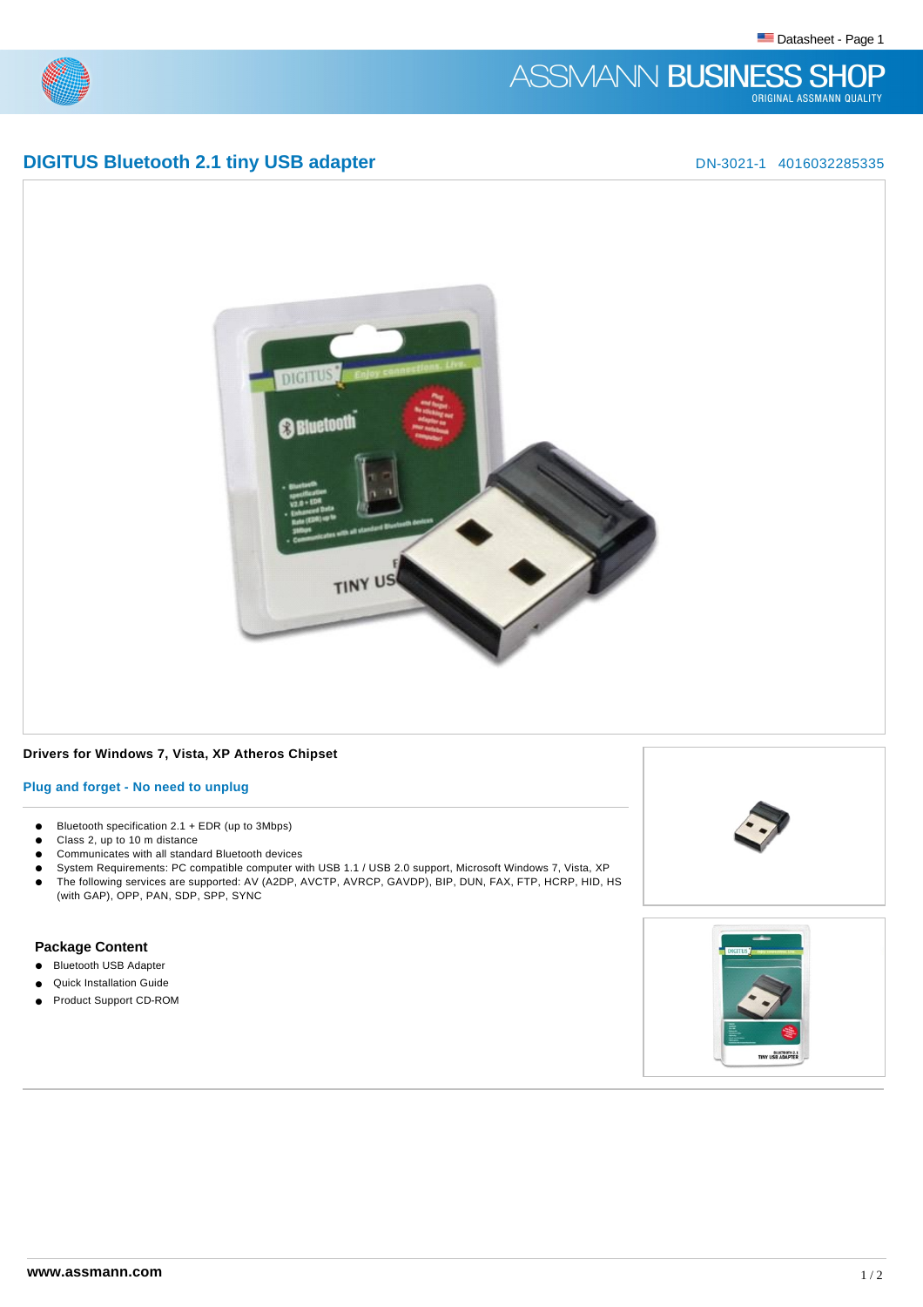# ASSMANN BUSINESS SHOP

# **DIGITUS Bluetooth 2.1 tiny USB adapter** DN-3021-1 4016032285335



# **Drivers for Windows 7, Vista, XP Atheros Chipset**

## **Plug and forget - No need to unplug**

- $\bullet$  Bluetooth specification 2.1 + EDR (up to 3Mbps)
- Class 2, up to 10 m distance
- **•** Communicates with all standard Bluetooth devices
- System Requirements: PC compatible computer with USB 1.1 / USB 2.0 support, Microsoft Windows 7, Vista, XP
- l The following services are supported: AV (A2DP, AVCTP, AVRCP, GAVDP), BIP, DUN, FAX, FTP, HCRP, HID, HS (with GAP), OPP, PAN, SDP, SPP, SYNC

## **Package Content**

- **e** Bluetooth USB Adapter
- **Quick Installation Guide**
- **e** Product Support CD-ROM